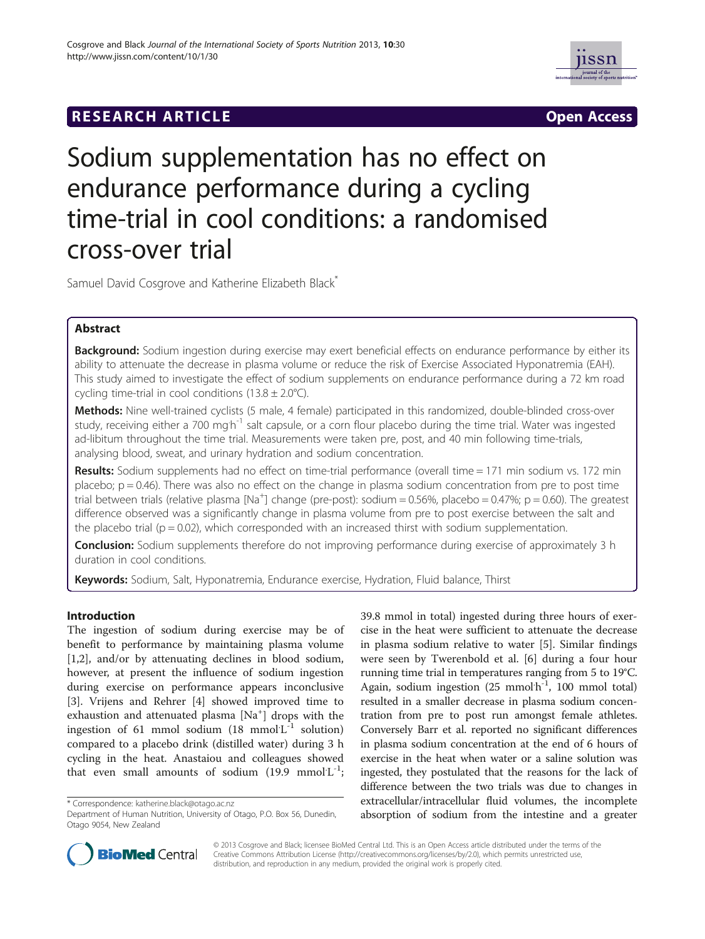



# Sodium supplementation has no effect on endurance performance during a cycling time-trial in cool conditions: a randomised cross-over trial

Samuel David Cosgrove and Katherine Elizabeth Black\*

# Abstract

Background: Sodium ingestion during exercise may exert beneficial effects on endurance performance by either its ability to attenuate the decrease in plasma volume or reduce the risk of Exercise Associated Hyponatremia (EAH). This study aimed to investigate the effect of sodium supplements on endurance performance during a 72 km road cycling time-trial in cool conditions  $(13.8 \pm 2.0^{\circ}C)$ .

Methods: Nine well-trained cyclists (5 male, 4 female) participated in this randomized, double-blinded cross-over study, receiving either a 700 mg<sup>h-1</sup> salt capsule, or a corn flour placebo during the time trial. Water was ingested ad-libitum throughout the time trial. Measurements were taken pre, post, and 40 min following time-trials, analysing blood, sweat, and urinary hydration and sodium concentration.

Results: Sodium supplements had no effect on time-trial performance (overall time = 171 min sodium vs. 172 min placebo;  $p = 0.46$ ). There was also no effect on the change in plasma sodium concentration from pre to post time .<br>trial between trials (relative plasma [Na<sup>+</sup>] change (pre-post): sodium = 0.56%, placebo = 0.47%; p = 0.60). The greatest difference observed was a significantly change in plasma volume from pre to post exercise between the salt and the placebo trial ( $p = 0.02$ ), which corresponded with an increased thirst with sodium supplementation.

**Conclusion:** Sodium supplements therefore do not improving performance during exercise of approximately 3 h duration in cool conditions.

Keywords: Sodium, Salt, Hyponatremia, Endurance exercise, Hydration, Fluid balance, Thirst

## Introduction

The ingestion of sodium during exercise may be of benefit to performance by maintaining plasma volume [[1,2\]](#page-6-0), and/or by attenuating declines in blood sodium, however, at present the influence of sodium ingestion during exercise on performance appears inconclusive [[3\]](#page-6-0). Vrijens and Rehrer [[4](#page-6-0)] showed improved time to exhaustion and attenuated plasma [Na<sup>+</sup>] drops with the ingestion of 61 mmol sodium (18 mmol $L^{-1}$  solution) compared to a placebo drink (distilled water) during 3 h cycling in the heat. Anastaiou and colleagues showed that even small amounts of sodium  $(19.9 \text{ mmol·L}^{-1})$ ;

39.8 mmol in total) ingested during three hours of exercise in the heat were sufficient to attenuate the decrease in plasma sodium relative to water [[5\]](#page-6-0). Similar findings were seen by Twerenbold et al. [[6\]](#page-6-0) during a four hour running time trial in temperatures ranging from 5 to 19°C. Again, sodium ingestion (25 mmol<sup>h-1</sup>, 100 mmol total) resulted in a smaller decrease in plasma sodium concentration from pre to post run amongst female athletes. Conversely Barr et al. reported no significant differences in plasma sodium concentration at the end of 6 hours of exercise in the heat when water or a saline solution was ingested, they postulated that the reasons for the lack of difference between the two trials was due to changes in extracellular/intracellular fluid volumes, the incomplete absorption of sodium from the intestine and a greater



© 2013 Cosgrove and Black; licensee BioMed Central Ltd. This is an Open Access article distributed under the terms of the Creative Commons Attribution License (<http://creativecommons.org/licenses/by/2.0>), which permits unrestricted use, distribution, and reproduction in any medium, provided the original work is properly cited.

<sup>\*</sup> Correspondence: [katherine.black@otago.ac.nz](mailto:katherine.black@otago.ac.nz)

Department of Human Nutrition, University of Otago, P.O. Box 56, Dunedin, Otago 9054, New Zealand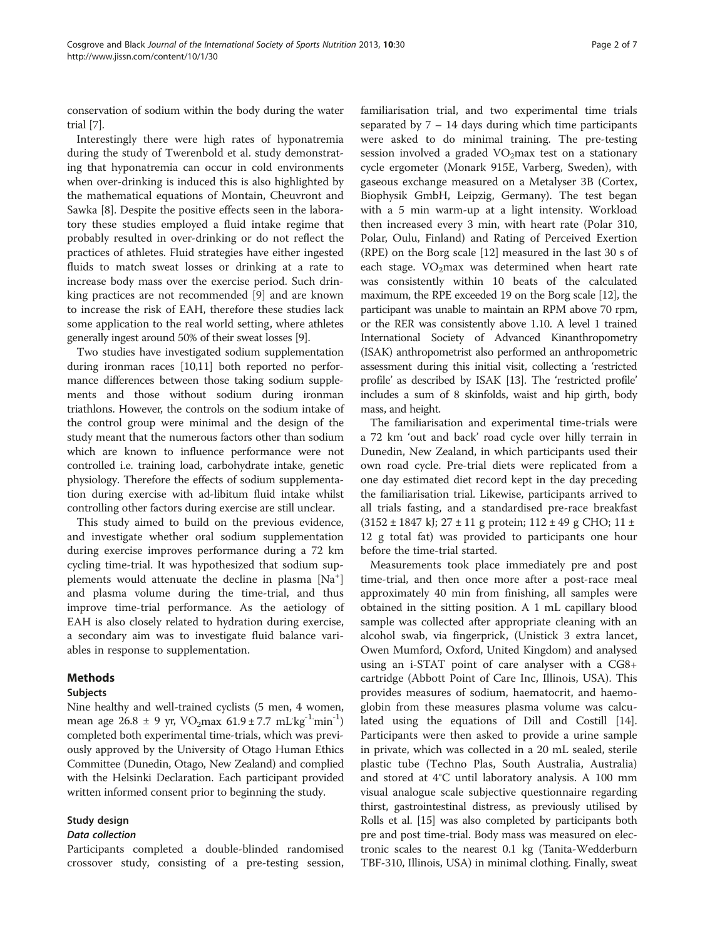conservation of sodium within the body during the water trial [\[7](#page-6-0)].

Interestingly there were high rates of hyponatremia during the study of Twerenbold et al. study demonstrating that hyponatremia can occur in cold environments when over-drinking is induced this is also highlighted by the mathematical equations of Montain, Cheuvront and Sawka [\[8](#page-6-0)]. Despite the positive effects seen in the laboratory these studies employed a fluid intake regime that probably resulted in over-drinking or do not reflect the practices of athletes. Fluid strategies have either ingested fluids to match sweat losses or drinking at a rate to increase body mass over the exercise period. Such drinking practices are not recommended [\[9](#page-6-0)] and are known to increase the risk of EAH, therefore these studies lack some application to the real world setting, where athletes generally ingest around 50% of their sweat losses [\[9](#page-6-0)].

Two studies have investigated sodium supplementation during ironman races [[10,11\]](#page-6-0) both reported no performance differences between those taking sodium supplements and those without sodium during ironman triathlons. However, the controls on the sodium intake of the control group were minimal and the design of the study meant that the numerous factors other than sodium which are known to influence performance were not controlled i.e. training load, carbohydrate intake, genetic physiology. Therefore the effects of sodium supplementation during exercise with ad-libitum fluid intake whilst controlling other factors during exercise are still unclear.

This study aimed to build on the previous evidence, and investigate whether oral sodium supplementation during exercise improves performance during a 72 km cycling time-trial. It was hypothesized that sodium supplements would attenuate the decline in plasma [Na<sup>+</sup>] and plasma volume during the time-trial, and thus improve time-trial performance. As the aetiology of EAH is also closely related to hydration during exercise, a secondary aim was to investigate fluid balance variables in response to supplementation.

## Methods

## Subjects

Nine healthy and well-trained cyclists (5 men, 4 women, mean age  $26.8 \pm 9$  yr, VO<sub>2</sub>max  $61.9 \pm 7.7$  mL $\text{kg}^{-1}$ min<sup>-1</sup>) completed both experimental time-trials, which was previously approved by the University of Otago Human Ethics Committee (Dunedin, Otago, New Zealand) and complied with the Helsinki Declaration. Each participant provided written informed consent prior to beginning the study.

## Study design

## Data collection

Participants completed a double-blinded randomised crossover study, consisting of a pre-testing session,

familiarisation trial, and two experimental time trials separated by 7 – 14 days during which time participants were asked to do minimal training. The pre-testing session involved a graded  $VO<sub>2</sub>$ max test on a stationary cycle ergometer (Monark 915E, Varberg, Sweden), with gaseous exchange measured on a Metalyser 3B (Cortex, Biophysik GmbH, Leipzig, Germany). The test began with a 5 min warm-up at a light intensity. Workload then increased every 3 min, with heart rate (Polar 310, Polar, Oulu, Finland) and Rating of Perceived Exertion (RPE) on the Borg scale [[12](#page-6-0)] measured in the last 30 s of each stage.  $VO<sub>2</sub>max$  was determined when heart rate was consistently within 10 beats of the calculated maximum, the RPE exceeded 19 on the Borg scale [[12](#page-6-0)], the participant was unable to maintain an RPM above 70 rpm, or the RER was consistently above 1.10. A level 1 trained International Society of Advanced Kinanthropometry (ISAK) anthropometrist also performed an anthropometric assessment during this initial visit, collecting a 'restricted profile' as described by ISAK [[13\]](#page-6-0). The 'restricted profile' includes a sum of 8 skinfolds, waist and hip girth, body mass, and height.

The familiarisation and experimental time-trials were a 72 km 'out and back' road cycle over hilly terrain in Dunedin, New Zealand, in which participants used their own road cycle. Pre-trial diets were replicated from a one day estimated diet record kept in the day preceding the familiarisation trial. Likewise, participants arrived to all trials fasting, and a standardised pre-race breakfast  $(3152 \pm 1847 \text{ k}$ ;  $27 \pm 11 \text{ g}$  protein;  $112 \pm 49 \text{ g}$  CHO;  $11 \pm 19 \text{ g}$ 12 g total fat) was provided to participants one hour before the time-trial started.

Measurements took place immediately pre and post time-trial, and then once more after a post-race meal approximately 40 min from finishing, all samples were obtained in the sitting position. A 1 mL capillary blood sample was collected after appropriate cleaning with an alcohol swab, via fingerprick, (Unistick 3 extra lancet, Owen Mumford, Oxford, United Kingdom) and analysed using an i-STAT point of care analyser with a CG8+ cartridge (Abbott Point of Care Inc, Illinois, USA). This provides measures of sodium, haematocrit, and haemoglobin from these measures plasma volume was calculated using the equations of Dill and Costill [\[14](#page-6-0)]. Participants were then asked to provide a urine sample in private, which was collected in a 20 mL sealed, sterile plastic tube (Techno Plas, South Australia, Australia) and stored at 4°C until laboratory analysis. A 100 mm visual analogue scale subjective questionnaire regarding thirst, gastrointestinal distress, as previously utilised by Rolls et al. [\[15](#page-6-0)] was also completed by participants both pre and post time-trial. Body mass was measured on electronic scales to the nearest 0.1 kg (Tanita-Wedderburn TBF-310, Illinois, USA) in minimal clothing. Finally, sweat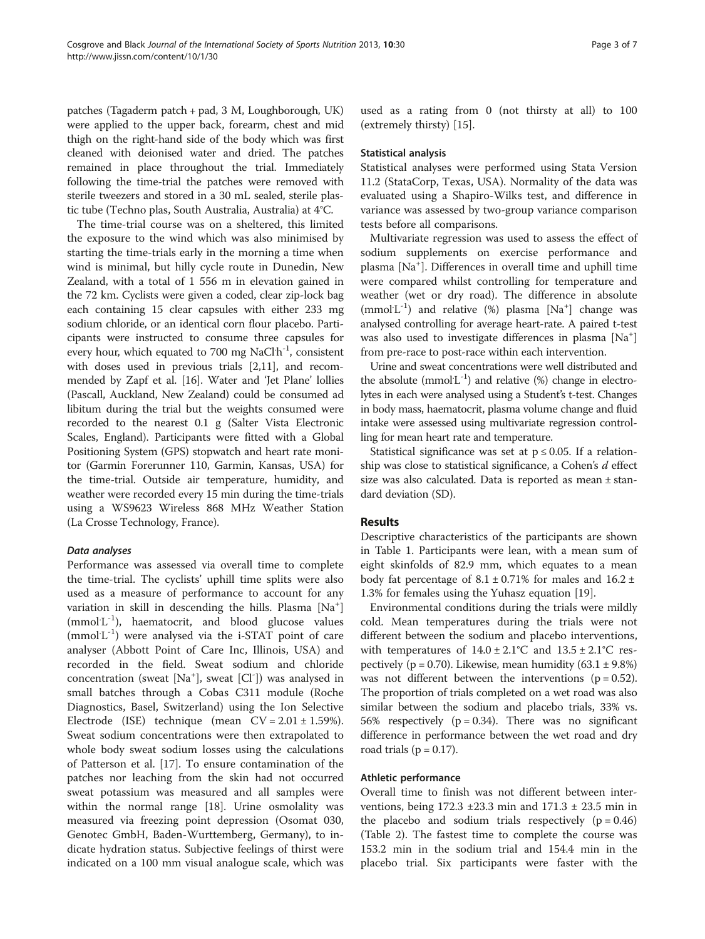patches (Tagaderm patch + pad, 3 M, Loughborough, UK) were applied to the upper back, forearm, chest and mid thigh on the right-hand side of the body which was first cleaned with deionised water and dried. The patches remained in place throughout the trial. Immediately following the time-trial the patches were removed with sterile tweezers and stored in a 30 mL sealed, sterile plastic tube (Techno plas, South Australia, Australia) at 4°C.

The time-trial course was on a sheltered, this limited the exposure to the wind which was also minimised by starting the time-trials early in the morning a time when wind is minimal, but hilly cycle route in Dunedin, New Zealand, with a total of 1 556 m in elevation gained in the 72 km. Cyclists were given a coded, clear zip-lock bag each containing 15 clear capsules with either 233 mg sodium chloride, or an identical corn flour placebo. Participants were instructed to consume three capsules for every hour, which equated to 700 mg NaCl<sup>h-1</sup>, consistent with doses used in previous trials [[2,11](#page-6-0)], and recommended by Zapf et al. [[16](#page-6-0)]. Water and 'Jet Plane' lollies (Pascall, Auckland, New Zealand) could be consumed ad libitum during the trial but the weights consumed were recorded to the nearest 0.1 g (Salter Vista Electronic Scales, England). Participants were fitted with a Global Positioning System (GPS) stopwatch and heart rate monitor (Garmin Forerunner 110, Garmin, Kansas, USA) for the time-trial. Outside air temperature, humidity, and weather were recorded every 15 min during the time-trials using a WS9623 Wireless 868 MHz Weather Station (La Crosse Technology, France).

## Data analyses

Performance was assessed via overall time to complete the time-trial. The cyclists' uphill time splits were also used as a measure of performance to account for any variation in skill in descending the hills. Plasma [Na<sup>+</sup>] (mmol<sup>'L-1</sup>), haematocrit, and blood glucose values (mmol<sup>'L-1</sup>) were analysed via the i-STAT point of care analyser (Abbott Point of Care Inc, Illinois, USA) and recorded in the field. Sweat sodium and chloride concentration (sweat [Na<sup>+</sup> ], sweat [Cl- ]) was analysed in small batches through a Cobas C311 module (Roche Diagnostics, Basel, Switzerland) using the Ion Selective Electrode (ISE) technique (mean  $CV = 2.01 \pm 1.59\%$ ). Sweat sodium concentrations were then extrapolated to whole body sweat sodium losses using the calculations of Patterson et al. [[17\]](#page-6-0). To ensure contamination of the patches nor leaching from the skin had not occurred sweat potassium was measured and all samples were within the normal range [\[18\]](#page-6-0). Urine osmolality was measured via freezing point depression (Osomat 030, Genotec GmbH, Baden-Wurttemberg, Germany), to indicate hydration status. Subjective feelings of thirst were indicated on a 100 mm visual analogue scale, which was used as a rating from 0 (not thirsty at all) to 100 (extremely thirsty) [\[15\]](#page-6-0).

## Statistical analysis

Statistical analyses were performed using Stata Version 11.2 (StataCorp, Texas, USA). Normality of the data was evaluated using a Shapiro-Wilks test, and difference in variance was assessed by two-group variance comparison tests before all comparisons.

Multivariate regression was used to assess the effect of sodium supplements on exercise performance and plasma [Na<sup>+</sup> ]. Differences in overall time and uphill time were compared whilst controlling for temperature and weather (wet or dry road). The difference in absolute (mmol<sup>'L-1</sup>) and relative (%) plasma [Na<sup>+</sup>] change was analysed controlling for average heart-rate. A paired t-test was also used to investigate differences in plasma [Na+ ] from pre-race to post-race within each intervention.

Urine and sweat concentrations were well distributed and the absolute ( $mmol<sup>-1</sup>$ ) and relative (%) change in electrolytes in each were analysed using a Student's t-test. Changes in body mass, haematocrit, plasma volume change and fluid intake were assessed using multivariate regression controlling for mean heart rate and temperature.

Statistical significance was set at  $p \le 0.05$ . If a relationship was close to statistical significance, a Cohen's d effect size was also calculated. Data is reported as mean ± standard deviation (SD).

## Results

Descriptive characteristics of the participants are shown in Table [1.](#page-3-0) Participants were lean, with a mean sum of eight skinfolds of 82.9 mm, which equates to a mean body fat percentage of  $8.1 \pm 0.71\%$  for males and  $16.2 \pm$ 1.3% for females using the Yuhasz equation [[19](#page-6-0)].

Environmental conditions during the trials were mildly cold. Mean temperatures during the trials were not different between the sodium and placebo interventions, with temperatures of  $14.0 \pm 2.1^{\circ}$ C and  $13.5 \pm 2.1^{\circ}$ C respectively ( $p = 0.70$ ). Likewise, mean humidity (63.1  $\pm$  9.8%) was not different between the interventions ( $p = 0.52$ ). The proportion of trials completed on a wet road was also similar between the sodium and placebo trials, 33% vs. 56% respectively ( $p = 0.34$ ). There was no significant difference in performance between the wet road and dry road trials ( $p = 0.17$ ).

## Athletic performance

Overall time to finish was not different between interventions, being 172.3 ±23.3 min and 171.3 ± 23.5 min in the placebo and sodium trials respectively  $(p = 0.46)$ (Table [2](#page-3-0)). The fastest time to complete the course was 153.2 min in the sodium trial and 154.4 min in the placebo trial. Six participants were faster with the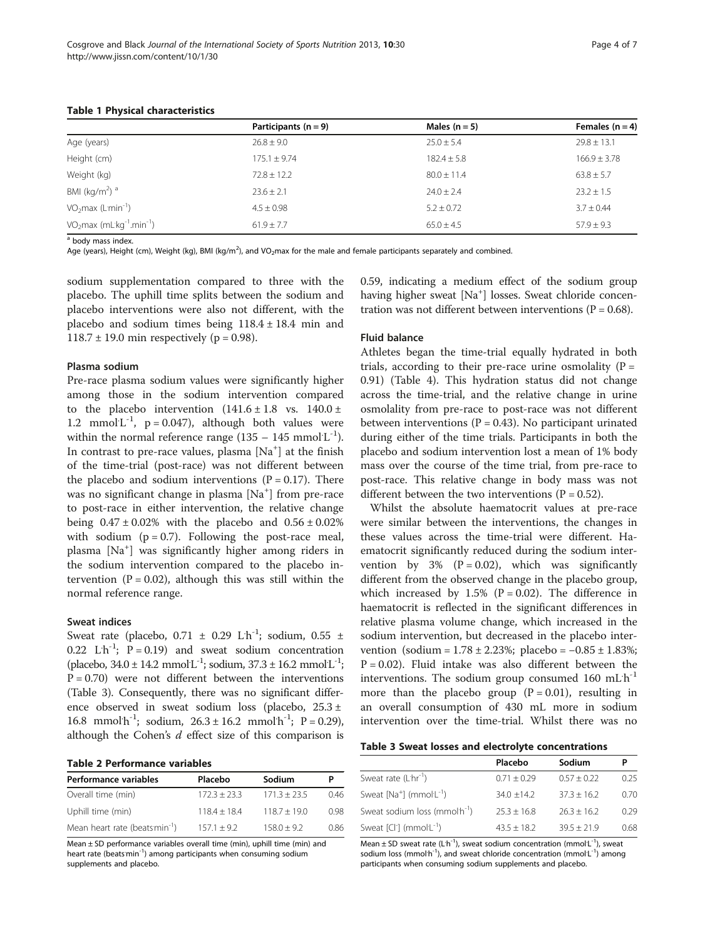|                                     | Participants $(n = 9)$ | Males $(n = 5)$ | Females $(n = 4)$ |
|-------------------------------------|------------------------|-----------------|-------------------|
| Age (years)                         | $26.8 \pm 9.0$         | $25.0 \pm 5.4$  | $29.8 \pm 13.1$   |
| Height (cm)                         | $175.1 + 9.74$         | $182.4 \pm 5.8$ | $166.9 + 3.78$    |
| Weight (kg)                         | $72.8 \pm 12.2$        | $80.0 \pm 11.4$ | $63.8 \pm 5.7$    |
| BMI (kg/m <sup>2</sup> ) $^{\rm a}$ | $23.6 + 2.1$           | $74.0 + 7.4$    | $23.2 + 1.5$      |
| $VO2max (Lmin-1)$                   | $4.5 \pm 0.98$         | $5.2 \pm 0.72$  | $3.7 \pm 0.44$    |
| $VO2max (mLkg-1.min-1)$             | $61.9 \pm 7.7$         | $65.0 + 4.5$    | $57.9 \pm 9.3$    |

#### <span id="page-3-0"></span>Table 1 Physical characteristics

<sup>a</sup> body mass index.

Age (years), Height (cm), Weight (kg), BMI (kg/m<sup>2</sup>), and VO<sub>2</sub>max for the male and female participants separately and combined.

sodium supplementation compared to three with the placebo. The uphill time splits between the sodium and placebo interventions were also not different, with the placebo and sodium times being  $118.4 \pm 18.4$  min and 118.7 ± 19.0 min respectively ( $p = 0.98$ ).

## Plasma sodium

Pre-race plasma sodium values were significantly higher among those in the sodium intervention compared to the placebo intervention  $(141.6 \pm 1.8 \text{ vs. } 140.0 \pm 1.8 \text{ vs. } 140.0 \pm 1.8 \text{ vs. } 140.0 \pm 1.8 \text{ vs. } 140.0 \pm 1.8 \text{ vs. } 140.0 \pm 1.8 \text{ vs. } 140.0 \pm 1.8 \text{ vs. } 140.0 \pm 1.8 \text{ vs. } 140.0 \pm 1.8 \text{ vs. } 140.0 \pm 1.8 \text{ vs. } 140.0 \pm 1.8$ 1.2 mmol $L^{-1}$ , p = 0.047), although both values were within the normal reference range  $(135 - 145 \text{ mmol·L}^{-1})$ . In contrast to pre-race values, plasma [Na<sup>+</sup>] at the finish of the time-trial (post-race) was not different between the placebo and sodium interventions  $(P = 0.17)$ . There was no significant change in plasma [Na<sup>+</sup>] from pre-race to post-race in either intervention, the relative change being  $0.47 \pm 0.02\%$  with the placebo and  $0.56 \pm 0.02\%$ with sodium  $(p = 0.7)$ . Following the post-race meal, plasma [Na<sup>+</sup> ] was significantly higher among riders in the sodium intervention compared to the placebo intervention ( $P = 0.02$ ), although this was still within the normal reference range.

#### Sweat indices

Sweat rate (placebo,  $0.71 \pm 0.29$  L<sup>th-1</sup>; sodium,  $0.55 \pm 1$ 0.22  $L'h^{-1}$ ;  $P = 0.19$ ) and sweat sodium concentration (placebo,  $34.0 \pm 14.2$  mmol $L^{-1}$ ; sodium,  $37.3 \pm 16.2$  mmol $L^{-1}$ ;  $P = 0.70$ ) were not different between the interventions (Table 3). Consequently, there was no significant difference observed in sweat sodium loss (placebo, 25.3 ± 16.8 mmol $h^{-1}$ ; sodium,  $26.3 \pm 16.2$  mmol $h^{-1}$ ; P = 0.29), although the Cohen's  $d$  effect size of this comparison is

#### Table 2 Performance variables

| Performance variables                      | Placebo        | Sodium         |      |
|--------------------------------------------|----------------|----------------|------|
| Overall time (min)                         | $172.3 + 23.3$ | $171.3 + 23.5$ | 046  |
| Uphill time (min)                          | $118.4 + 18.4$ | $118.7 + 19.0$ | 0.98 |
| Mean heart rate (beats min <sup>-1</sup> ) | $157.1 + 9.2$  | $158.0 + 9.2$  | 0.86 |

Mean ± SD performance variables overall time (min), uphill time (min) and heart rate (beatsmin<sup>-1</sup>) among participants when consuming sodium supplements and placebo.

0.59, indicating a medium effect of the sodium group having higher sweat [Na<sup>+</sup>] losses. Sweat chloride concentration was not different between interventions ( $P = 0.68$ ).

## Fluid balance

Athletes began the time-trial equally hydrated in both trials, according to their pre-race urine osmolality ( $P =$ 0.91) (Table [4](#page-4-0)). This hydration status did not change across the time-trial, and the relative change in urine osmolality from pre-race to post-race was not different between interventions ( $P = 0.43$ ). No participant urinated during either of the time trials. Participants in both the placebo and sodium intervention lost a mean of 1% body mass over the course of the time trial, from pre-race to post-race. This relative change in body mass was not different between the two interventions  $(P = 0.52)$ .

Whilst the absolute haematocrit values at pre-race were similar between the interventions, the changes in these values across the time-trial were different. Haematocrit significantly reduced during the sodium intervention by  $3\%$  (P = 0.02), which was significantly different from the observed change in the placebo group, which increased by  $1.5\%$  (P = 0.02). The difference in haematocrit is reflected in the significant differences in relative plasma volume change, which increased in the sodium intervention, but decreased in the placebo intervention (sodium =  $1.78 \pm 2.23\%$ ; placebo =  $-0.85 \pm 1.83\%$ ;  $P = 0.02$ ). Fluid intake was also different between the interventions. The sodium group consumed  $160$  mL $h^{-1}$ more than the placebo group  $(P = 0.01)$ , resulting in an overall consumption of 430 mL more in sodium intervention over the time-trial. Whilst there was no

|  |  | Table 3 Sweat losses and electrolyte concentrations |
|--|--|-----------------------------------------------------|
|  |  |                                                     |

|                                                        | Placebo       | Sodium        |      |
|--------------------------------------------------------|---------------|---------------|------|
| Sweat rate $(Lhr^{-1})$                                | $0.71 + 0.29$ | $0.57 + 0.22$ | 0.25 |
| Sweat $[Na^+]$ (mmol $L^{-1}$ )                        | $34.0 + 14.2$ | $373 + 162$   | 0.70 |
| Sweat sodium loss (mmol <sup>t-1</sup> )               | $753 + 168$   | $763 + 162$   | 0.29 |
| Sweat $\lceil C \rceil$ (mmol $\lceil C^{-1} \rceil$ ) | $43.5 + 18.2$ | $39.5 + 21.9$ | 0.68 |

Mean  $\pm$  SD sweat rate (L<sup>h-1</sup>), sweat sodium concentration (mmol $L^{-1}$ ), sweat sodium loss (mmol'h<sup>-1</sup>), and sweat chloride concentration (mmol'L<sup>-1</sup>) among participants when consuming sodium supplements and placebo.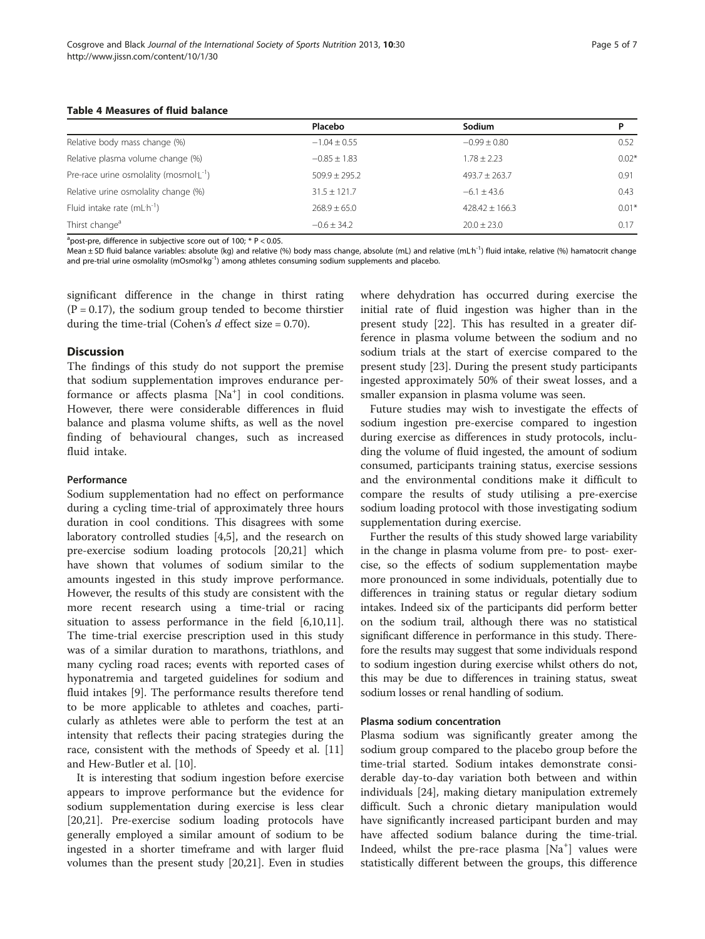<span id="page-4-0"></span>

|  | <b>Table 4 Measures of fluid balance</b> |  |  |
|--|------------------------------------------|--|--|
|--|------------------------------------------|--|--|

|                                              | Placebo          | Sodium             |         |
|----------------------------------------------|------------------|--------------------|---------|
| Relative body mass change (%)                | $-1.04 \pm 0.55$ | $-0.99 \pm 0.80$   | 0.52    |
| Relative plasma volume change (%)            | $-0.85 \pm 1.83$ | $1.78 \pm 2.23$    | $0.02*$ |
| Pre-race urine osmolality (mosmol $L^{-1}$ ) | $509.9 + 295.2$  | $493.7 \pm 263.7$  | 0.91    |
| Relative urine osmolality change (%)         | $31.5 + 121.7$   | $-6.1 + 43.6$      | 0.43    |
| Fluid intake rate $(mL'h^{-1})$              | $268.9 \pm 65.0$ | $428.42 \pm 166.3$ | $0.01*$ |
| Thirst change <sup>a</sup>                   | $-0.6 + 34.2$    | $20.0 \pm 23.0$    | 0.17    |

 $a$ post-pre, difference in subjective score out of 100;  $*$  P < 0.05.

Mean ± SD fluid balance variables: absolute (kg) and relative (%) body mass change, absolute (mL) and relative (mL<sup>-h-1</sup>) fluid intake, relative (%) hamatocrit change and pre-trial urine osmolality (mOsmol'kg<sup>-1</sup>) among athletes consuming sodium supplements and placebo.

significant difference in the change in thirst rating  $(P = 0.17)$ , the sodium group tended to become thirstier during the time-trial (Cohen's  $d$  effect size = 0.70).

## **Discussion**

The findings of this study do not support the premise that sodium supplementation improves endurance performance or affects plasma [Na<sup>+</sup>] in cool conditions. However, there were considerable differences in fluid balance and plasma volume shifts, as well as the novel finding of behavioural changes, such as increased fluid intake.

## Performance

Sodium supplementation had no effect on performance during a cycling time-trial of approximately three hours duration in cool conditions. This disagrees with some laboratory controlled studies [[4,5\]](#page-6-0), and the research on pre-exercise sodium loading protocols [\[20,21](#page-6-0)] which have shown that volumes of sodium similar to the amounts ingested in this study improve performance. However, the results of this study are consistent with the more recent research using a time-trial or racing situation to assess performance in the field [\[6,10,11](#page-6-0)]. The time-trial exercise prescription used in this study was of a similar duration to marathons, triathlons, and many cycling road races; events with reported cases of hyponatremia and targeted guidelines for sodium and fluid intakes [[9\]](#page-6-0). The performance results therefore tend to be more applicable to athletes and coaches, particularly as athletes were able to perform the test at an intensity that reflects their pacing strategies during the race, consistent with the methods of Speedy et al. [[11](#page-6-0)] and Hew-Butler et al. [[10](#page-6-0)].

It is interesting that sodium ingestion before exercise appears to improve performance but the evidence for sodium supplementation during exercise is less clear [[20,21\]](#page-6-0). Pre-exercise sodium loading protocols have generally employed a similar amount of sodium to be ingested in a shorter timeframe and with larger fluid volumes than the present study [\[20,21\]](#page-6-0). Even in studies

where dehydration has occurred during exercise the initial rate of fluid ingestion was higher than in the present study [[22\]](#page-6-0). This has resulted in a greater difference in plasma volume between the sodium and no sodium trials at the start of exercise compared to the present study [\[23\]](#page-6-0). During the present study participants ingested approximately 50% of their sweat losses, and a smaller expansion in plasma volume was seen.

Future studies may wish to investigate the effects of sodium ingestion pre-exercise compared to ingestion during exercise as differences in study protocols, including the volume of fluid ingested, the amount of sodium consumed, participants training status, exercise sessions and the environmental conditions make it difficult to compare the results of study utilising a pre-exercise sodium loading protocol with those investigating sodium supplementation during exercise.

Further the results of this study showed large variability in the change in plasma volume from pre- to post- exercise, so the effects of sodium supplementation maybe more pronounced in some individuals, potentially due to differences in training status or regular dietary sodium intakes. Indeed six of the participants did perform better on the sodium trail, although there was no statistical significant difference in performance in this study. Therefore the results may suggest that some individuals respond to sodium ingestion during exercise whilst others do not, this may be due to differences in training status, sweat sodium losses or renal handling of sodium.

#### Plasma sodium concentration

Plasma sodium was significantly greater among the sodium group compared to the placebo group before the time-trial started. Sodium intakes demonstrate considerable day-to-day variation both between and within individuals [[24\]](#page-6-0), making dietary manipulation extremely difficult. Such a chronic dietary manipulation would have significantly increased participant burden and may have affected sodium balance during the time-trial. Indeed, whilst the pre-race plasma [Na<sup>+</sup>] values were statistically different between the groups, this difference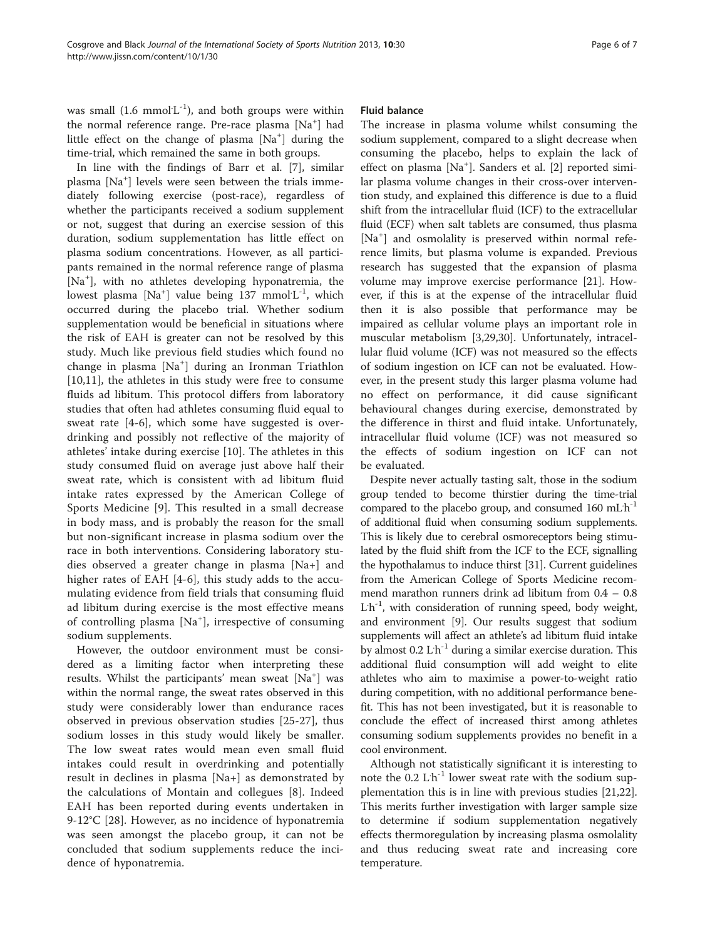was small  $(1.6 \text{ mmol L}^{-1})$ , and both groups were within the normal reference range. Pre-race plasma [Na<sup>+</sup>] had little effect on the change of plasma [Na<sup>+</sup>] during the time-trial, which remained the same in both groups.

In line with the findings of Barr et al. [\[7\]](#page-6-0), similar plasma [Na<sup>+</sup>] levels were seen between the trials immediately following exercise (post-race), regardless of whether the participants received a sodium supplement or not, suggest that during an exercise session of this duration, sodium supplementation has little effect on plasma sodium concentrations. However, as all participants remained in the normal reference range of plasma [Na<sup>+</sup> ], with no athletes developing hyponatremia, the lowest plasma  $[Na^+]$  value being 137 mmol $L^{-1}$ , which occurred during the placebo trial. Whether sodium supplementation would be beneficial in situations where the risk of EAH is greater can not be resolved by this study. Much like previous field studies which found no change in plasma [Na<sup>+</sup> ] during an Ironman Triathlon [[10,11](#page-6-0)], the athletes in this study were free to consume fluids ad libitum. This protocol differs from laboratory studies that often had athletes consuming fluid equal to sweat rate [[4-6](#page-6-0)], which some have suggested is overdrinking and possibly not reflective of the majority of athletes' intake during exercise [[10\]](#page-6-0). The athletes in this study consumed fluid on average just above half their sweat rate, which is consistent with ad libitum fluid intake rates expressed by the American College of Sports Medicine [[9\]](#page-6-0). This resulted in a small decrease in body mass, and is probably the reason for the small but non-significant increase in plasma sodium over the race in both interventions. Considering laboratory studies observed a greater change in plasma [Na+] and higher rates of EAH [\[4-6](#page-6-0)], this study adds to the accumulating evidence from field trials that consuming fluid ad libitum during exercise is the most effective means of controlling plasma [Na<sup>+</sup> ], irrespective of consuming sodium supplements.

However, the outdoor environment must be considered as a limiting factor when interpreting these results. Whilst the participants' mean sweat [Na<sup>+</sup>] was within the normal range, the sweat rates observed in this study were considerably lower than endurance races observed in previous observation studies [\[25](#page-6-0)-[27](#page-6-0)], thus sodium losses in this study would likely be smaller. The low sweat rates would mean even small fluid intakes could result in overdrinking and potentially result in declines in plasma [Na+] as demonstrated by the calculations of Montain and collegues [[8](#page-6-0)]. Indeed EAH has been reported during events undertaken in 9-12°C [[28\]](#page-6-0). However, as no incidence of hyponatremia was seen amongst the placebo group, it can not be concluded that sodium supplements reduce the incidence of hyponatremia.

## Fluid balance

The increase in plasma volume whilst consuming the sodium supplement, compared to a slight decrease when consuming the placebo, helps to explain the lack of effect on plasma [Na<sup>+</sup>]. Sanders et al. [[2\]](#page-6-0) reported similar plasma volume changes in their cross-over intervention study, and explained this difference is due to a fluid shift from the intracellular fluid (ICF) to the extracellular fluid (ECF) when salt tablets are consumed, thus plasma [Na<sup>+</sup>] and osmolality is preserved within normal reference limits, but plasma volume is expanded. Previous research has suggested that the expansion of plasma volume may improve exercise performance [[21\]](#page-6-0). However, if this is at the expense of the intracellular fluid then it is also possible that performance may be impaired as cellular volume plays an important role in muscular metabolism [\[3,29,30\]](#page-6-0). Unfortunately, intracellular fluid volume (ICF) was not measured so the effects of sodium ingestion on ICF can not be evaluated. However, in the present study this larger plasma volume had no effect on performance, it did cause significant behavioural changes during exercise, demonstrated by the difference in thirst and fluid intake. Unfortunately, intracellular fluid volume (ICF) was not measured so the effects of sodium ingestion on ICF can not be evaluated.

Despite never actually tasting salt, those in the sodium group tended to become thirstier during the time-trial compared to the placebo group, and consumed 160 mLh<sup>-1</sup> of additional fluid when consuming sodium supplements. This is likely due to cerebral osmoreceptors being stimulated by the fluid shift from the ICF to the ECF, signalling the hypothalamus to induce thirst [\[31](#page-6-0)]. Current guidelines from the American College of Sports Medicine recommend marathon runners drink ad libitum from 0.4 – 0.8 L<sup>'h-1</sup>, with consideration of running speed, body weight, and environment [[9](#page-6-0)]. Our results suggest that sodium supplements will affect an athlete's ad libitum fluid intake by almost 0.2 L<sup>h-1</sup> during a similar exercise duration. This additional fluid consumption will add weight to elite athletes who aim to maximise a power-to-weight ratio during competition, with no additional performance benefit. This has not been investigated, but it is reasonable to conclude the effect of increased thirst among athletes consuming sodium supplements provides no benefit in a cool environment.

Although not statistically significant it is interesting to note the  $0.2$  L<sup>h-1</sup> lower sweat rate with the sodium supplementation this is in line with previous studies [\[21,22](#page-6-0)]. This merits further investigation with larger sample size to determine if sodium supplementation negatively effects thermoregulation by increasing plasma osmolality and thus reducing sweat rate and increasing core temperature.